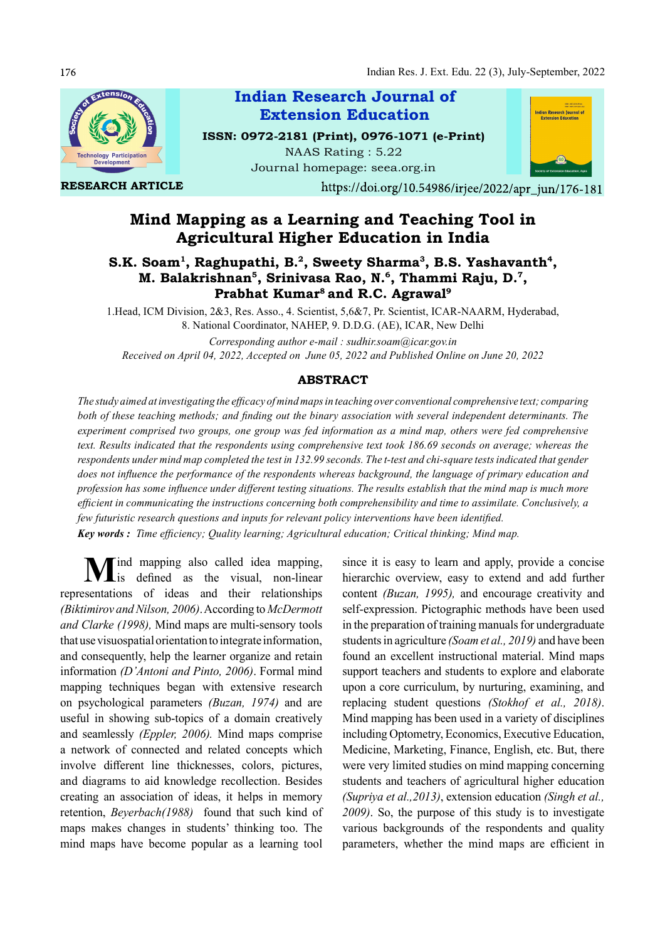

RESEARCH ARTICLE



ISSN: 0972-2181 (Print), 0976-1071 (e-Print) NAAS Rating : 5.22 Journal homepage: seea.org.in



https://doi.org/10.54986/irjee/2022/apr\_jun/176-181

# Mind Mapping as a Learning and Teaching Tool in Agricultural Higher Education in India

## S.K. Soam<sup>1</sup>, Raghupathi, B.<sup>2</sup>, Sweety Sharma<sup>3</sup>, B.S. Yashavanth<sup>4</sup>, M. Balakrishnan<sup>5</sup>, Srinivasa Rao, N.<sup>6</sup>, Thammi Raju, D.<sup>7</sup>, Prabhat Kumar<sup>8</sup> and R.C. Agrawal<sup>9</sup>

1.Head, ICM Division, 2&3, Res. Asso., 4. Scientist, 5,6&7, Pr. Scientist, ICAR-NAARM, Hyderabad, 8. National Coordinator, NAHEP, 9. D.D.G. (AE), ICAR, New Delhi

Corresponding author e-mail : sudhir.soam@icar.gov.in Received on April 04, 2022, Accepted on June 05, 2022 and Published Online on June 20, 2022

## ABSTRACT

The study aimed at investigating the efficacy of mind maps in teaching over conventional comprehensive text; comparing both of these teaching methods; and finding out the binary association with several independent determinants. The experiment comprised two groups, one group was fed information as a mind map, others were fed comprehensive text. Results indicated that the respondents using comprehensive text took 186.69 seconds on average; whereas the respondents under mind map completed the test in 132.99 seconds. The t-test and chi-square tests indicated that gender does not influence the performance of the respondents whereas background, the language of primary education and profession has some influence under different testing situations. The results establish that the mind map is much more efficient in communicating the instructions concerning both comprehensibility and time to assimilate. Conclusively, a few futuristic research questions and inputs for relevant policy interventions have been identified. **Key words:** Time efficiency; Quality learning; Agricultural education; Critical thinking; Mind map.

Mind mapping also called idea mapping, since it is easy<br>
is defined as the visual, non-linear hierarchic over representations of ideas and their relationships (Biktimirov and Nilson, 2006). According to McDermott and Clarke (1998), Mind maps are multi-sensory tools that use visuospatial orientation to integrate information, and consequently, help the learner organize and retain information (D'Antoni and Pinto, 2006). Formal mind mapping techniques began with extensive research on psychological parameters  $(Buzan, 1974)$  and are replacing student questions (Stokhof et al., 2018). useful in showing sub-topics of a domain creatively and seamlessly (Eppler, 2006). Mind maps comprise a network of connected and related concepts which involve different line thicknesses, colors, pictures, and diagrams to aid knowledge recollection. Besides creating an association of ideas, it helps in memory retention, Beyerbach(1988) found that such kind of maps makes changes in students' thinking too. The mind maps have become popular as a learning tool

since it is easy to learn and apply, provide a concise hierarchic overview, easy to extend and add further content (Buzan, 1995), and encourage creativity and self-expression. Pictographic methods have been used in the preparation of training manuals for undergraduate students in agriculture (Soam et al., 2019) and have been found an excellent instructional material. Mind maps support teachers and students to explore and elaborate upon a core curriculum, by nurturing, examining, and Mind mapping has been used in a variety of disciplines including Optometry, Economics, Executive Education, Medicine, Marketing, Finance, English, etc. But, there were very limited studies on mind mapping concerning students and teachers of agricultural higher education (Supriya et al.,2013), extension education (Singh et al., 2009). So, the purpose of this study is to investigate various backgrounds of the respondents and quality parameters, whether the mind maps are efficient in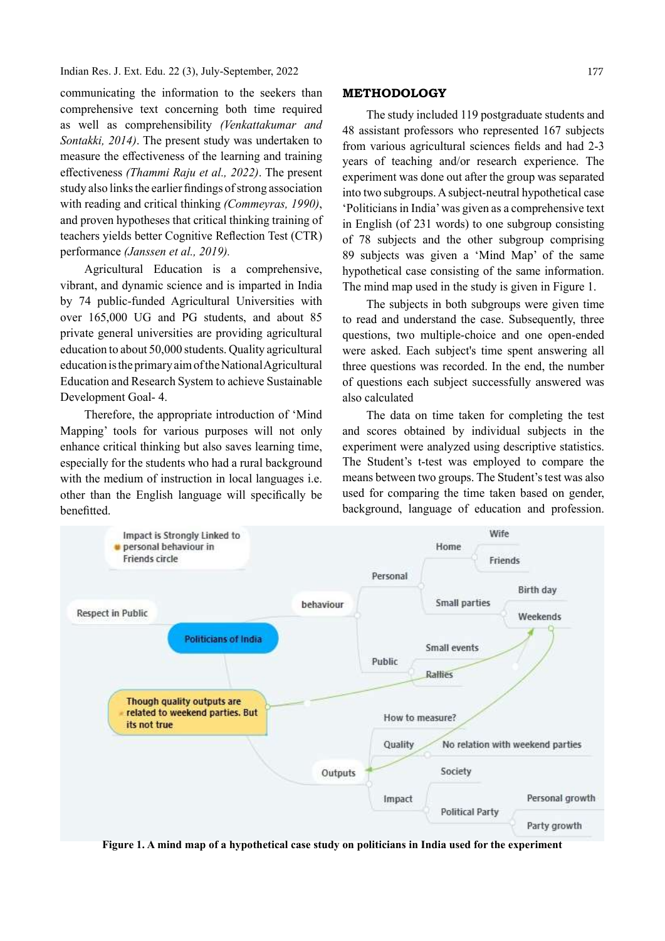### Indian Res. J. Ext. Edu. 22 (3), July-September, 2022

communicating the information to the seekers than comprehensive text concerning both time required as well as comprehensibility (Venkattakumar and Sontakki, 2014). The present study was undertaken to measure the effectiveness of the learning and training effectiveness *(Thammi Raju et al., 2022)*. The present study also links the earlier findings of strong association with reading and critical thinking (Commeyras, 1990), and proven hypotheses that critical thinking training of teachers yields better Cognitive Reflection Test (CTR) performance (Janssen et al., 2019).

Agricultural Education is a comprehensive, vibrant, and dynamic science and is imparted in India by 74 public-funded Agricultural Universities with over 165,000 UG and PG students, and about 85 private general universities are providing agricultural education to about 50,000 students. Quality agricultural education is the primary aim of the National Agricultural Education and Research System to achieve Sustainable Development Goal- 4.

Therefore, the appropriate introduction of 'Mind Mapping' tools for various purposes will not only enhance critical thinking but also saves learning time, especially for the students who had a rural background with the medium of instruction in local languages *i.e.* other than the English language will specifically be benefitted.

#### METHODOLOGY

The study included 119 postgraduate students and 48 assistant professors who represented 167 subjects from various agricultural sciences fields and had 2-3 years of teaching and/or research experience. The experiment was done out after the group was separated into two subgroups. A subject-neutral hypothetical case 'Politicians in India' was given as a comprehensive text in English (of 231 words) to one subgroup consisting of 78 subjects and the other subgroup comprising 89 subjects was given a 'Mind Map' of the same hypothetical case consisting of the same information. The mind map used in the study is given in Figure 1.

The subjects in both subgroups were given time to read and understand the case. Subsequently, three questions, two multiple-choice and one open-ended were asked. Each subject's time spent answering all three questions was recorded. In the end, the number of questions each subject successfully answered was also calculated

The data on time taken for completing the test and scores obtained by individual subjects in the experiment were analyzed using descriptive statistics. The Student's t-test was employed to compare the means between two groups. The Student's test was also used for comparing the time taken based on gender, background, language of education and profession.



Figure 1. A mind map of a hypothetical case study on politicians in India used for the experiment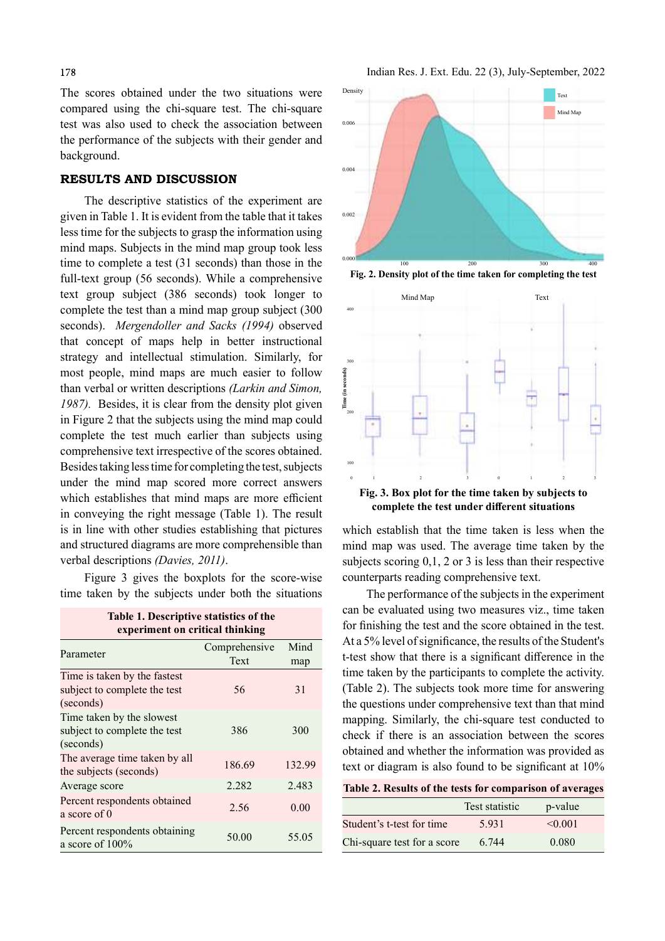The scores obtained under the two situations were compared using the chi-square test. The chi-square test was also used to check the association between the performance of the subjects with their gender and background.

## RESULTS AND DISCUSSION

The descriptive statistics of the experiment are given in Table 1. It is evident from the table that it takes less time for the subjects to grasp the information using mind maps. Subjects in the mind map group took less time to complete a test (31 seconds) than those in the full-text group (56 seconds). While a comprehensive text group subject (386 seconds) took longer to complete the test than a mind map group subject (300 seconds). Mergendoller and Sacks (1994) observed that concept of maps help in better instructional strategy and intellectual stimulation. Similarly, for most people, mind maps are much easier to follow<br>than verbal or written descriptions *(Larkin and Simon, 1987)*. Besides, it is clear from the density plot given than verbal or written descriptions (Larkin and Simon, 1987). Besides, it is clear from the density plot given in Figure 2 that the subjects using the mind map could complete the test much earlier than subjects using comprehensive text irrespective of the scores obtained. Besides taking less time for completing the test, subjects under the mind map scored more correct answers which establishes that mind maps are more efficient in conveying the right message (Table 1). The result is in line with other studies establishing that pictures and structured diagrams are more comprehensible than verbal descriptions (*Davies*, 2011).<br>Figure 3 gives the boxplots for the score-wise

time taken by the subjects under both the situations

Table 1. Descriptive statistics of the experiment on critical thinking

| Comprehensive | Mind                    |
|---------------|-------------------------|
| Text          | map                     |
|               |                         |
| 56            | 31                      |
|               |                         |
|               |                         |
| 386           | 300                     |
|               |                         |
|               | 132.99                  |
|               |                         |
| 2.282         | 2.483                   |
|               | 0.00                    |
|               |                         |
|               |                         |
|               | 55.05                   |
|               | 186.69<br>2.56<br>50.00 |



Fig. 2. Density plot of the time taken for completing the test



complete the test under different situations

which establish that the time taken is less when the mind map was used. The average time taken by the subjects scoring 0,1, 2 or 3 is less than their respective counterparts reading comprehensive text.

The performance of the subjects in the experiment can be evaluated using two measures viz., time taken for finishing the test and the score obtained in the test. At a 5% level of significance, the results of the Student's t-test show that there is a significant difference in the time taken by the participants to complete the activity. (Table 2). The subjects took more time for answering the questions under comprehensive text than that mind mapping. Similarly, the chi-square test conducted to check if there is an association between the scores obtained and whether the information was provided as text or diagram is also found to be significant at  $10\%$ 

|  |  | Table 2. Results of the tests for comparison of averages |  |
|--|--|----------------------------------------------------------|--|
|--|--|----------------------------------------------------------|--|

|                             | Test statistic | p-value      |
|-----------------------------|----------------|--------------|
| Student's t-test for time   | 5.931          | $\leq 0.001$ |
| Chi-square test for a score | 6.744          | 0.080        |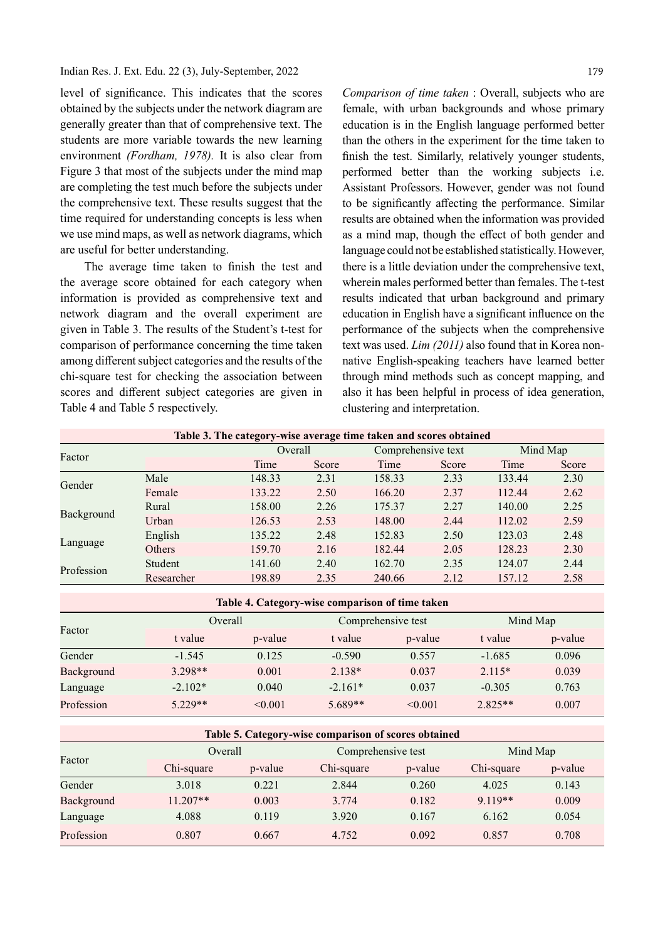Indian Res. J. Ext. Edu. 22 (3), July-September, 2022

level of significance. This indicates that the scores obtained by the subjects under the network diagram are generally greater than that of comprehensive text. The students are more variable towards the new learning environment (Fordham, 1978). It is also clear from Figure 3 that most of the subjects under the mind map are completing the test much before the subjects under the comprehensive text. These results suggest that the time required for understanding concepts is less when we use mind maps, as well as network diagrams, which are useful for better understanding.

The average time taken to finish the test and the average score obtained for each category when information is provided as comprehensive text and network diagram and the overall experiment are given in Table 3. The results of the Student's t-test for comparison of performance concerning the time taken among different subject categories and the results of the chi-square test for checking the association between scores and different subject categories are given in Table 4 and Table 5 respectively.

Comparison of time taken : Overall, subjects who are female, with urban backgrounds and whose primary education is in the English language performed better than the others in the experiment for the time taken to finish the test. Similarly, relatively younger students, performed better than the working subjects i.e. Assistant Professors. However, gender was not found to be significantly affecting the performance. Similar results are obtained when the information was provided as a mind map, though the effect of both gender and language could not be established statistically. However, there is a little deviation under the comprehensive text, wherein males performed better than females. The t-test results indicated that urban background and primary education in English have a significant influence on the performance of the subjects when the comprehensive text was used. Lim (2011) also found that in Korea nonnative English-speaking teachers have learned better through mind methods such as concept mapping, and also it has been helpful in process of idea generation, clustering and interpretation.

| Table 3. The category-wise average time taken and scores obtained |        |         |        |                    |        |          |  |
|-------------------------------------------------------------------|--------|---------|--------|--------------------|--------|----------|--|
|                                                                   |        | Overall |        | Comprehensive text |        | Mind Map |  |
|                                                                   | Time   | Score   | Time   | Score              | Time   | Score    |  |
| Male                                                              | 148.33 | 2.31    | 158.33 | 2.33               | 133.44 | 2.30     |  |
| Female                                                            | 133.22 | 2.50    | 166.20 | 2.37               | 112.44 | 2.62     |  |
| Rural                                                             | 158.00 | 2.26    | 175.37 | 2.27               | 140.00 | 2.25     |  |
| Urban                                                             | 126.53 | 2.53    | 148.00 | 2.44               | 112.02 | 2.59     |  |
| English                                                           | 135.22 | 2.48    | 152.83 | 2.50               | 123.03 | 2.48     |  |
| <b>Others</b>                                                     | 159.70 | 2.16    | 182.44 | 2.05               | 128.23 | 2.30     |  |
| Student                                                           | 141.60 | 2.40    | 162.70 | 2.35               | 124.07 | 2.44     |  |
| Researcher                                                        | 198.89 | 2.35    | 240.66 | 2.12               | 157.12 | 2.58     |  |
|                                                                   |        |         |        |                    |        |          |  |

| Table 4. Category-wise comparison of time taken |           |         |           |                    |           |          |  |
|-------------------------------------------------|-----------|---------|-----------|--------------------|-----------|----------|--|
| Factor                                          |           | Overall |           | Comprehensive test |           | Mind Map |  |
|                                                 | t value   | p-value | t value   | p-value            | t value   | p-value  |  |
| Gender                                          | $-1.545$  | 0.125   | $-0.590$  | 0.557              | $-1.685$  | 0.096    |  |
| Background                                      | $3.298**$ | 0.001   | $2.138*$  | 0.037              | $2.115*$  | 0.039    |  |
| Language                                        | $-2.102*$ | 0.040   | $-2.161*$ | 0.037              | $-0.305$  | 0.763    |  |
| Profession                                      | $5.229**$ | < 0.001 | $5.689**$ | < 0.001            | $2.825**$ | 0.007    |  |

| Table 5. Category-wise comparison of scores obtained |            |         |            |                    |            |          |  |
|------------------------------------------------------|------------|---------|------------|--------------------|------------|----------|--|
| Factor                                               | Overall    |         |            | Comprehensive test |            | Mind Map |  |
|                                                      | Chi-square | p-value | Chi-square | p-value            | Chi-square | p-value  |  |
| Gender                                               | 3.018      | 0.221   | 2.844      | 0.260              | 4.025      | 0.143    |  |
| Background                                           | $11.207**$ | 0.003   | 3.774      | 0.182              | $9.119**$  | 0.009    |  |
| Language                                             | 4.088      | 0.119   | 3.920      | 0.167              | 6.162      | 0.054    |  |
| Profession                                           | 0.807      | 0.667   | 4.752      | 0.092              | 0.857      | 0.708    |  |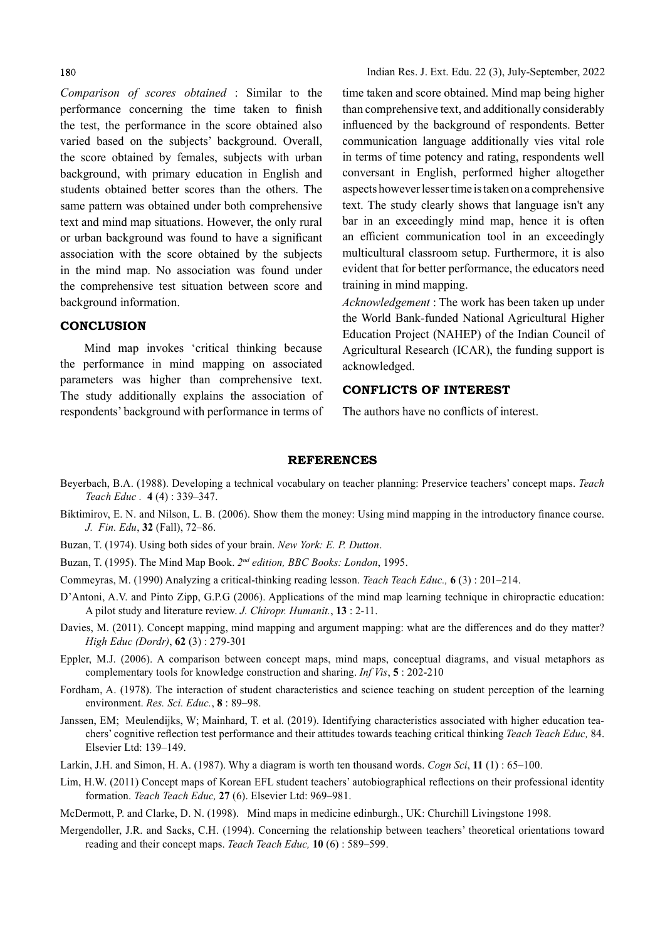#### 180

Comparison of scores obtained : Similar to the performance concerning the time taken to finish the test, the performance in the score obtained also varied based on the subjects' background. Overall, the score obtained by females, subjects with urban background, with primary education in English and students obtained better scores than the others. The same pattern was obtained under both comprehensive text and mind map situations. However, the only rural or urban background was found to have a significant association with the score obtained by the subjects in the mind map. No association was found under the comprehensive test situation between score and background information.

### **CONCLUSION**

Mind map invokes 'critical thinking because the performance in mind mapping on associated parameters was higher than comprehensive text. The study additionally explains the association of respondents' background with performance in terms of

time taken and score obtained. Mind map being higher than comprehensive text, and additionally considerably influenced by the background of respondents. Better communication language additionally vies vital role in terms of time potency and rating, respondents well conversant in English, performed higher altogether aspects however lesser time is taken on a comprehensive text. The study clearly shows that language isn't any bar in an exceedingly mind map, hence it is often an efficient communication tool in an exceedingly multicultural classroom setup. Furthermore, it is also evident that for better performance, the educators need training in mind mapping.

Acknowledgement : The work has been taken up under the World Bank-funded National Agricultural Higher Education Project (NAHEP) of the Indian Council of Agricultural Research (ICAR), the funding support is acknowledged.

## CONFLICTS OF INTEREST

The authors have no conflicts of interest.

#### REFERENCES

- Beyerbach, B.A. (1988). Developing a technical vocabulary on teacher planning: Preservice teachers' concept maps. Teach Teach Educ . 4 (4) : 339–347.
- Biktimirov, E. N. and Nilson, L. B. (2006). Show them the money: Using mind mapping in the introductory finance course. J. Fin. Edu, 32 (Fall), 72–86.
- Buzan, T. (1974). Using both sides of your brain. New York: E. P. Dutton.
- Buzan, T. (1995). The Mind Map Book. 2<sup>nd</sup> edition, BBC Books: London, 1995.
- Commeyras, M. (1990) Analyzing a critical-thinking reading lesson. Teach Teach Educ., 6 (3) : 201–214.
- D'Antoni, A.V. and Pinto Zipp, G.P.G (2006). Applications of the mind map learning technique in chiropractic education: A pilot study and literature review. J. Chiropr. Humanit., 13 : 2-11.
- Davies, M. (2011). Concept mapping, mind mapping and argument mapping: what are the differences and do they matter? High Educ (Dordr), 62 (3) : 279-301
- Eppler, M.J. (2006). A comparison between concept maps, mind maps, conceptual diagrams, and visual metaphors as complementary tools for knowledge construction and sharing. Inf Vis, 5 : 202-210
- Fordham, A. (1978). The interaction of student characteristics and science teaching on student perception of the learning environment. Res. Sci. Educ., 8 : 89–98.
- Janssen, EM; Meulendijks, W; Mainhard, T. et al. (2019). Identifying characteristics associated with higher education teachers' cognitive reflection test performance and their attitudes towards teaching critical thinking Teach Teach Educ, 84. Elsevier Ltd: 139–149.
- Larkin, J.H. and Simon, H. A. (1987). Why a diagram is worth ten thousand words. *Cogn Sci*, 11 (1): 65–100.
- Lim, H.W. (2011) Concept maps of Korean EFL student teachers' autobiographical reflections on their professional identity formation. Teach Teach Educ, 27 (6). Elsevier Ltd: 969–981.
- McDermott, P. and Clarke, D. N. (1998). Mind maps in medicine edinburgh., UK: Churchill Livingstone 1998.
- Mergendoller, J.R. and Sacks, C.H. (1994). Concerning the relationship between teachers' theoretical orientations toward reading and their concept maps. Teach Teach Educ, 10 (6): 589-599.